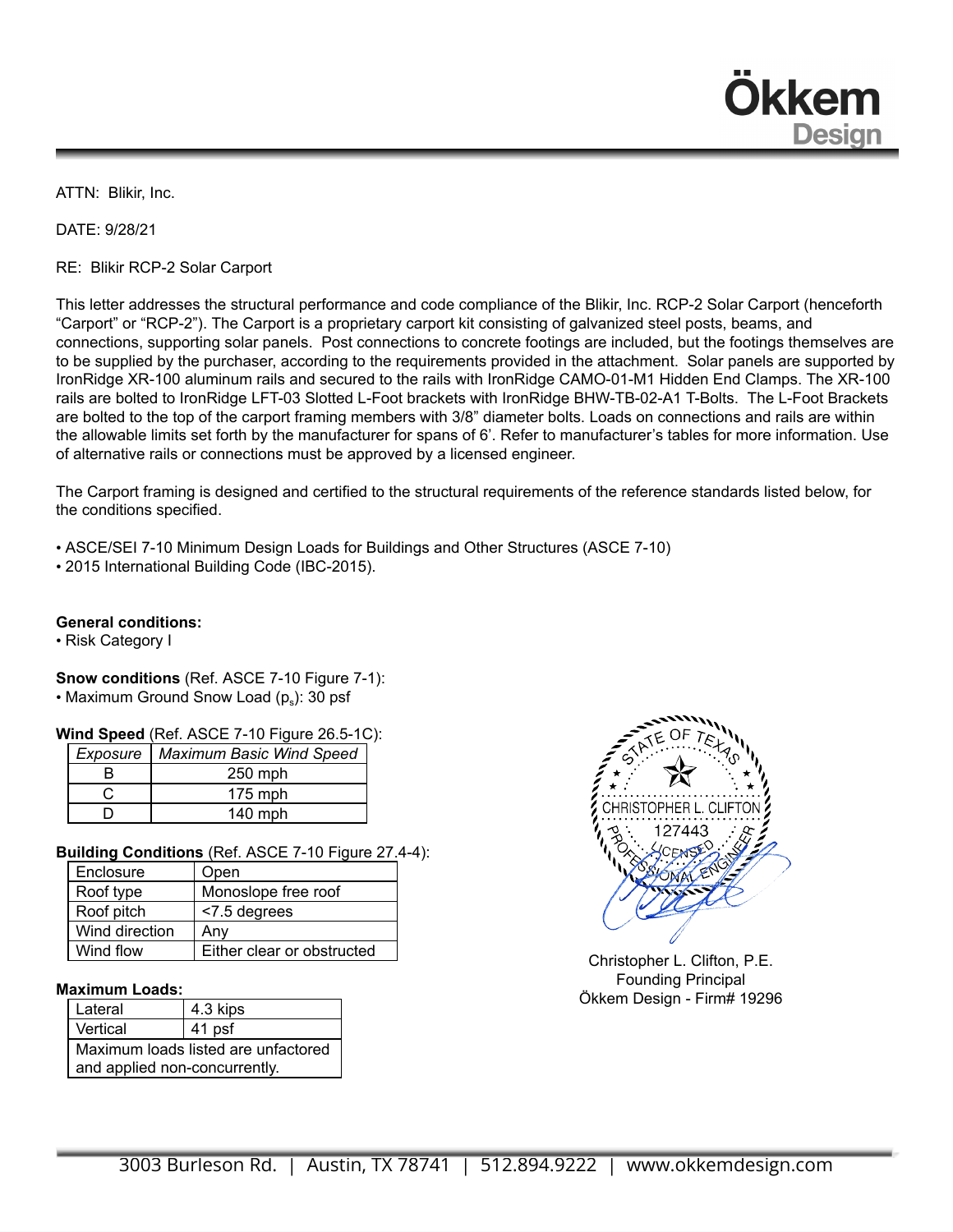**Dkkem Design** 

ATTN: Blikir, Inc.

DATE: 9/28/21

RE: Blikir RCP-2 Solar Carport

This letter addresses the structural performance and code compliance of the Blikir, Inc. RCP-2 Solar Carport (henceforth "Carport" or "RCP-2"). The Carport is a proprietary carport kit consisting of galvanized steel posts, beams, and connections, supporting solar panels. Post connections to concrete footings are included, but the footings themselves are to be supplied by the purchaser, according to the requirements provided in the attachment. Solar panels are supported by IronRidge XR-100 aluminum rails and secured to the rails with IronRidge CAMO-01-M1 Hidden End Clamps. The XR-100 rails are bolted to IronRidge LFT-03 Slotted L-Foot brackets with IronRidge BHW-TB-02-A1 T-Bolts. The L-Foot Brackets are bolted to the top of the carport framing members with 3/8" diameter bolts. Loads on connections and rails are within the allowable limits set forth by the manufacturer for spans of 6'. Refer to manufacturer's tables for more information. Use of alternative rails or connections must be approved by a licensed engineer.

The Carport framing is designed and certified to the structural requirements of the reference standards listed below, for the conditions specified.

• ASCE/SEI 7-10 Minimum Design Loads for Buildings and Other Structures (ASCE 7-10)

• 2015 International Building Code (IBC-2015).

## **General conditions:**

• Risk Category I

**Snow conditions** (Ref. ASCE 7-10 Figure 7-1):  $\bullet$  Maximum Ground Snow Load (p $_{\rm s}$ ): 30 psf

### **Wind Speed** (Ref. ASCE 7-10 Figure 26.5-1C):

| Exposure | Maximum Basic Wind Speed |
|----------|--------------------------|
| R        | 250 mph                  |
|          | $175$ mph                |
|          | $140$ mph                |

## **Building Conditions** (Ref. ASCE 7-10 Figure 27.4-4):

| Enclosure      | Open                       |
|----------------|----------------------------|
| Roof type      | Monoslope free roof        |
| Roof pitch     | <7.5 degrees               |
| Wind direction | Any                        |
| Wind flow      | Either clear or obstructed |

### **Maximum Loads:**

| Lateral                             | 4.3 kips |  |
|-------------------------------------|----------|--|
| Vertical                            | 41 psf   |  |
| Maximum loads listed are unfactored |          |  |
| and applied non-concurrently.       |          |  |



Christopher L. Clifton, P.E. Founding Principal Ökkem Design - Firm# 19296